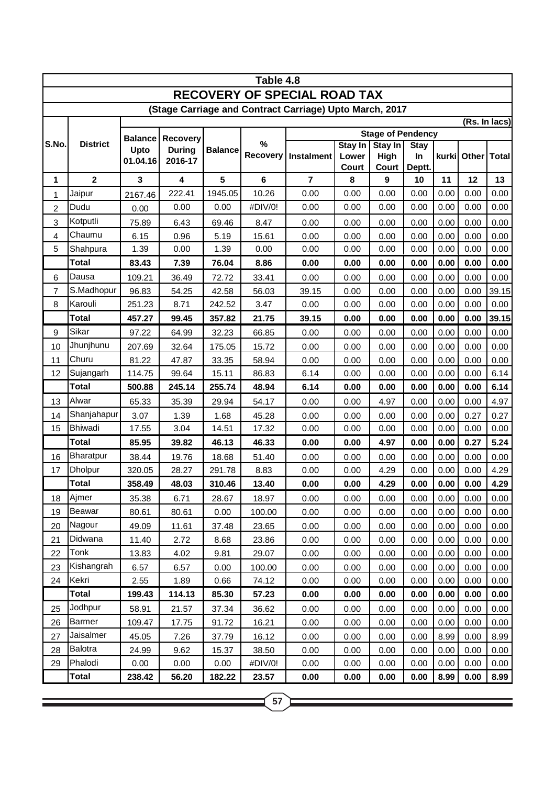| Table 4.8                                               |                 |                                    |                                      |                |               |                          |                  |                        |                   |       |               |       |  |
|---------------------------------------------------------|-----------------|------------------------------------|--------------------------------------|----------------|---------------|--------------------------|------------------|------------------------|-------------------|-------|---------------|-------|--|
| <b>RECOVERY OF SPECIAL ROAD TAX</b>                     |                 |                                    |                                      |                |               |                          |                  |                        |                   |       |               |       |  |
| (Stage Carriage and Contract Carriage) Upto March, 2017 |                 |                                    |                                      |                |               |                          |                  |                        |                   |       |               |       |  |
|                                                         |                 |                                    |                                      |                |               |                          | (Rs. In lacs)    |                        |                   |       |               |       |  |
| S.No.                                                   | <b>District</b> | <b>Balance</b><br>Upto<br>01.04.16 | Recovery<br><b>During</b><br>2016-17 | <b>Balance</b> | %<br>Recovery | <b>Stage of Pendency</b> |                  |                        |                   |       |               |       |  |
|                                                         |                 |                                    |                                      |                |               | <b>Instalment</b>        | Stay In<br>Lower | <b>Stay In</b><br>High | <b>Stay</b><br>In | kurki | Other   Total |       |  |
|                                                         |                 |                                    |                                      |                |               |                          | Court            | Court                  | Deptt.            |       |               |       |  |
| 1                                                       | $\mathbf{2}$    | $\mathbf{3}$                       | 4                                    | $5\phantom{a}$ | 6             | $\overline{7}$           | 8                | 9                      | 10                | 11    | 12            | 13    |  |
| 1                                                       | Jaipur          | 2167.46                            | 222.41                               | 1945.05        | 10.26         | 0.00                     | 0.00             | 0.00                   | 0.00              | 0.00  | 0.00          | 0.00  |  |
| $\overline{c}$                                          | Dudu            | 0.00                               | 0.00                                 | 0.00           | #DIV/0!       | 0.00                     | 0.00             | 0.00                   | 0.00              | 0.00  | 0.00          | 0.00  |  |
| 3                                                       | Kotputli        | 75.89                              | 6.43                                 | 69.46          | 8.47          | 0.00                     | 0.00             | 0.00                   | 0.00              | 0.00  | 0.00          | 0.00  |  |
| 4                                                       | Chaumu          | 6.15                               | 0.96                                 | 5.19           | 15.61         | 0.00                     | 0.00             | 0.00                   | 0.00              | 0.00  | 0.00          | 0.00  |  |
| 5                                                       | Shahpura        | 1.39                               | 0.00                                 | 1.39           | 0.00          | 0.00                     | 0.00             | 0.00                   | 0.00              | 0.00  | 0.00          | 0.00  |  |
|                                                         | <b>Total</b>    | 83.43                              | 7.39                                 | 76.04          | 8.86          | 0.00                     | 0.00             | 0.00                   | 0.00              | 0.00  | 0.00          | 0.00  |  |
| 6                                                       | Dausa           | 109.21                             | 36.49                                | 72.72          | 33.41         | 0.00                     | 0.00             | 0.00                   | 0.00              | 0.00  | 0.00          | 0.00  |  |
| 7                                                       | S.Madhopur      | 96.83                              | 54.25                                | 42.58          | 56.03         | 39.15                    | 0.00             | 0.00                   | 0.00              | 0.00  | 0.00          | 39.15 |  |
| 8                                                       | Karouli         | 251.23                             | 8.71                                 | 242.52         | 3.47          | 0.00                     | 0.00             | 0.00                   | 0.00              | 0.00  | 0.00          | 0.00  |  |
|                                                         | <b>Total</b>    | 457.27                             | 99.45                                | 357.82         | 21.75         | 39.15                    | 0.00             | 0.00                   | 0.00              | 0.00  | 0.00          | 39.15 |  |
| 9                                                       | Sikar           | 97.22                              | 64.99                                | 32.23          | 66.85         | 0.00                     | 0.00             | 0.00                   | 0.00              | 0.00  | 0.00          | 0.00  |  |
| 10                                                      | Jhunjhunu       | 207.69                             | 32.64                                | 175.05         | 15.72         | 0.00                     | 0.00             | 0.00                   | 0.00              | 0.00  | 0.00          | 0.00  |  |
| 11                                                      | Churu           | 81.22                              | 47.87                                | 33.35          | 58.94         | 0.00                     | 0.00             | 0.00                   | 0.00              | 0.00  | 0.00          | 0.00  |  |
| 12                                                      | Sujangarh       | 114.75                             | 99.64                                | 15.11          | 86.83         | 6.14                     | 0.00             | 0.00                   | 0.00              | 0.00  | 0.00          | 6.14  |  |
|                                                         | <b>Total</b>    | 500.88                             | 245.14                               | 255.74         | 48.94         | 6.14                     | 0.00             | 0.00                   | 0.00              | 0.00  | 0.00          | 6.14  |  |
| 13                                                      | Alwar           | 65.33                              | 35.39                                | 29.94          | 54.17         | 0.00                     | 0.00             | 4.97                   | 0.00              | 0.00  | 0.00          | 4.97  |  |
| 14                                                      | Shanjahapur     | 3.07                               | 1.39                                 | 1.68           | 45.28         | 0.00                     | 0.00             | 0.00                   | 0.00              | 0.00  | 0.27          | 0.27  |  |
| 15                                                      | Bhiwadi         | 17.55                              | 3.04                                 | 14.51          | 17.32         | 0.00                     | 0.00             | 0.00                   | 0.00              | 0.00  | 0.00          | 0.00  |  |
|                                                         | <b>Total</b>    | 85.95                              | 39.82                                | 46.13          | 46.33         | 0.00                     | 0.00             | 4.97                   | 0.00              | 0.00  | 0.27          | 5.24  |  |
| 16                                                      | Bharatpur       | 38.44                              | 19.76                                | 18.68          | 51.40         | 0.00                     | 0.00             | 0.00                   | 0.00              | 0.00  | 0.00          | 0.00  |  |
| 17                                                      | <b>Dholpur</b>  | 320.05                             | 28.27                                | 291.78         | 8.83          | 0.00                     | 0.00             | 4.29                   | 0.00              | 0.00  | 0.00          | 4.29  |  |
|                                                         | <b>Total</b>    | 358.49                             | 48.03                                | 310.46         | 13.40         | 0.00                     | 0.00             | 4.29                   | 0.00              | 0.00  | 0.00          | 4.29  |  |
| 18                                                      | Ajmer           | 35.38                              | 6.71                                 | 28.67          | 18.97         | 0.00                     | 0.00             | 0.00                   | 0.00              | 0.00  | 0.00          | 0.00  |  |
| 19                                                      | <b>Beawar</b>   | 80.61                              | 80.61                                | 0.00           | 100.00        | 0.00                     | 0.00             | 0.00                   | 0.00              | 0.00  | 0.00          | 0.00  |  |
| 20                                                      | Nagour          | 49.09                              | 11.61                                | 37.48          | 23.65         | 0.00                     | 0.00             | 0.00                   | 0.00              | 0.00  | 0.00          | 0.00  |  |
| 21                                                      | Didwana         | 11.40                              | 2.72                                 | 8.68           | 23.86         | 0.00                     | 0.00             | 0.00                   | 0.00              | 0.00  | 0.00          | 0.00  |  |
| 22                                                      | Tonk            | 13.83                              | 4.02                                 | 9.81           | 29.07         | 0.00                     | 0.00             | 0.00                   | 0.00              | 0.00  | 0.00          | 0.00  |  |
| 23                                                      | Kishangrah      | 6.57                               | 6.57                                 | 0.00           | 100.00        | 0.00                     | 0.00             | 0.00                   | 0.00              | 0.00  | 0.00          | 0.00  |  |
| 24                                                      | Kekri           | 2.55                               | 1.89                                 | 0.66           | 74.12         | 0.00                     | 0.00             | 0.00                   | 0.00              | 0.00  | 0.00          | 0.00  |  |
|                                                         | <b>Total</b>    | 199.43                             | 114.13                               | 85.30          | 57.23         | 0.00                     | 0.00             | 0.00                   | 0.00              | 0.00  | 0.00          | 0.00  |  |
| 25                                                      | Jodhpur         | 58.91                              | 21.57                                | 37.34          | 36.62         | 0.00                     | 0.00             | 0.00                   | 0.00              | 0.00  | 0.00          | 0.00  |  |
| 26                                                      | Barmer          | 109.47                             | 17.75                                | 91.72          | 16.21         | 0.00                     | 0.00             | 0.00                   | 0.00              | 0.00  | 0.00          | 0.00  |  |
| 27                                                      | Jaisalmer       | 45.05                              | 7.26                                 | 37.79          | 16.12         | 0.00                     | 0.00             | 0.00                   | 0.00              | 8.99  | 0.00          | 8.99  |  |
| 28                                                      | Balotra         | 24.99                              | 9.62                                 | 15.37          | 38.50         | 0.00                     | 0.00             | 0.00                   | 0.00              | 0.00  | 0.00          | 0.00  |  |
| 29                                                      | Phalodi         | 0.00                               | 0.00                                 | 0.00           | #DIV/0!       | 0.00                     | 0.00             | 0.00                   | 0.00              | 0.00  | 0.00          | 0.00  |  |
|                                                         | <b>Total</b>    | 238.42                             | 56.20                                | 182.22         | 23.57         | 0.00                     | 0.00             | 0.00                   | 0.00              | 8.99  | 0.00          | 8.99  |  |